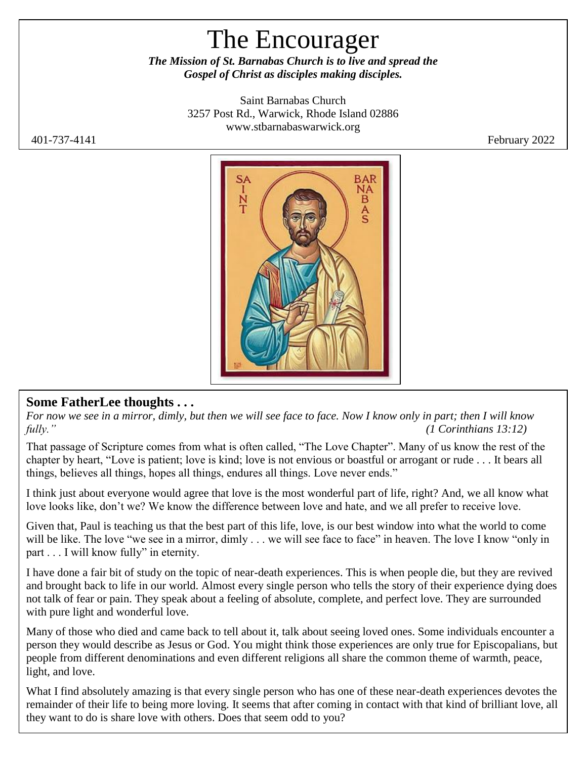# The Encourager

*The Mission of St. Barnabas Church is to live and spread the Gospel of Christ as disciples making disciples.*

> Saint Barnabas Church 3257 Post Rd., Warwick, Rhode Island 02886 [www.stbarnabaswarwick.org](http://www.stbarnabaswarwick.org/)

401-737-4141 February 2022



### **Some FatherLee thoughts . . .**

*For now we see in a mirror, dimly, but then we will see face to face. Now I know only in part; then I will know fully." (1 Corinthians 13:12)*

That passage of Scripture comes from what is often called, "The Love Chapter". Many of us know the rest of the chapter by heart, "Love is patient; love is kind; love is not envious or boastful or arrogant or rude . . . It bears all things, believes all things, hopes all things, endures all things. Love never ends."

I think just about everyone would agree that love is the most wonderful part of life, right? And, we all know what love looks like, don't we? We know the difference between love and hate, and we all prefer to receive love.

Given that, Paul is teaching us that the best part of this life, love, is our best window into what the world to come will be like. The love "we see in a mirror, dimly . . . we will see face to face" in heaven. The love I know "only in part . . . I will know fully" in eternity.

I have done a fair bit of study on the topic of near-death experiences. This is when people die, but they are revived and brought back to life in our world. Almost every single person who tells the story of their experience dying does not talk of fear or pain. They speak about a feeling of absolute, complete, and perfect love. They are surrounded with pure light and wonderful love.

Many of those who died and came back to tell about it, talk about seeing loved ones. Some individuals encounter a person they would describe as Jesus or God. You might think those experiences are only true for Episcopalians, but people from different denominations and even different religions all share the common theme of warmth, peace, light, and love.

What I find absolutely amazing is that every single person who has one of these near-death experiences devotes the remainder of their life to being more loving. It seems that after coming in contact with that kind of brilliant love, all they want to do is share love with others. Does that seem odd to you?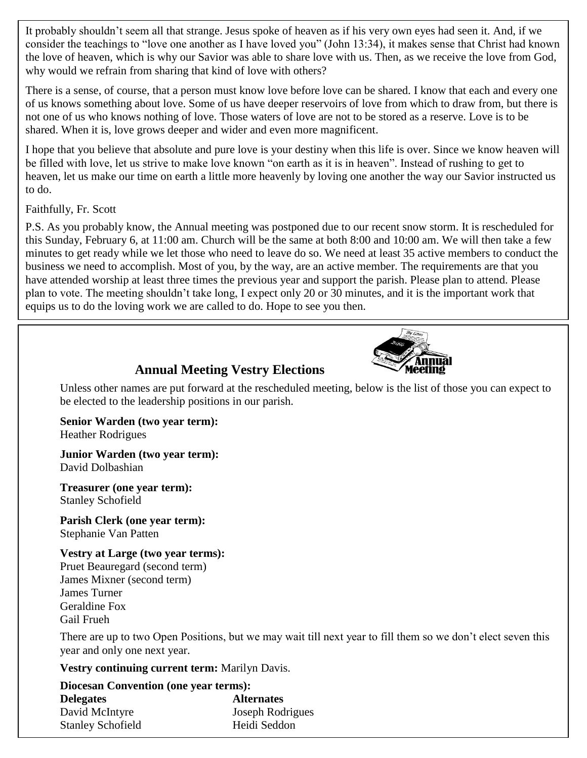It probably shouldn't seem all that strange. Jesus spoke of heaven as if his very own eyes had seen it. And, if we consider the teachings to "love one another as I have loved you" (John 13:34), it makes sense that Christ had known the love of heaven, which is why our Savior was able to share love with us. Then, as we receive the love from God, why would we refrain from sharing that kind of love with others?

There is a sense, of course, that a person must know love before love can be shared. I know that each and every one of us knows something about love. Some of us have deeper reservoirs of love from which to draw from, but there is not one of us who knows nothing of love. Those waters of love are not to be stored as a reserve. Love is to be shared. When it is, love grows deeper and wider and even more magnificent.

I hope that you believe that absolute and pure love is your destiny when this life is over. Since we know heaven will be filled with love, let us strive to make love known "on earth as it is in heaven". Instead of rushing to get to heaven, let us make our time on earth a little more heavenly by loving one another the way our Savior instructed us to do.

#### Faithfully, Fr. Scott

P.S. As you probably know, the Annual meeting was postponed due to our recent snow storm. It is rescheduled for this Sunday, February 6, at 11:00 am. Church will be the same at both 8:00 and 10:00 am. We will then take a few minutes to get ready while we let those who need to leave do so. We need at least 35 active members to conduct the business we need to accomplish. Most of you, by the way, are an active member. The requirements are that you have attended worship at least three times the previous year and support the parish. Please plan to attend. Please plan to vote. The meeting shouldn't take long, I expect only 20 or 30 minutes, and it is the important work that equips us to do the loving work we are called to do. Hope to see you then.



### **Annual Meeting Vestry Elections**

Unless other names are put forward at the rescheduled meeting, below is the list of those you can expect to be elected to the leadership positions in our parish.

**Senior Warden (two year term):**  Heather Rodrigues

**Junior Warden (two year term):** David Dolbashian

**Treasurer (one year term):** Stanley Schofield

**Parish Clerk (one year term):** Stephanie Van Patten

**Vestry at Large (two year terms):** Pruet Beauregard (second term) James Mixner (second term) James Turner Geraldine Fox Gail Frueh

There are up to two Open Positions, but we may wait till next year to fill them so we don't elect seven this year and only one next year.

**Vestry continuing current term:** Marilyn Davis.

| <b>Diocesan Convention (one year terms):</b> |                   |
|----------------------------------------------|-------------------|
| <b>Delegates</b>                             | <b>Alternates</b> |
| David McIntyre                               | Joseph Rodrigues  |
| <b>Stanley Schofield</b>                     | Heidi Seddon      |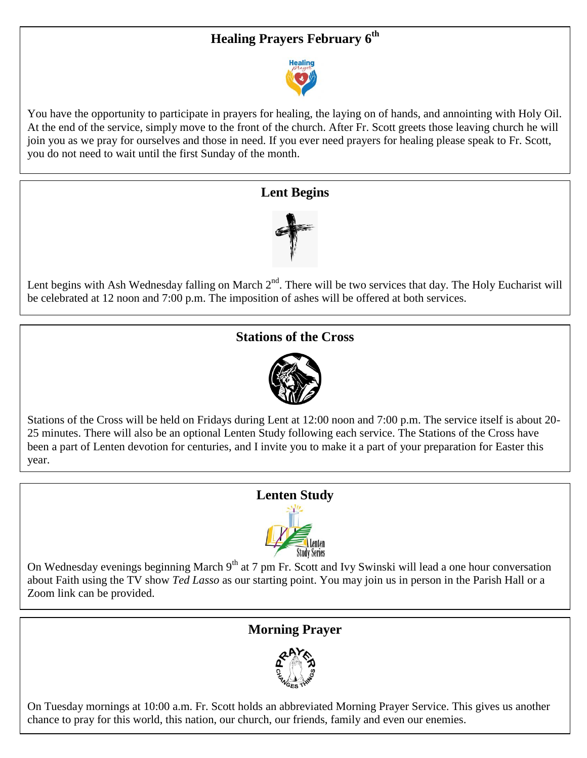## **Healing Prayers February 6th**



You have the opportunity to participate in prayers for healing, the laying on of hands, and annointing with Holy Oil. At the end of the service, simply move to the front of the church. After Fr. Scott greets those leaving church he will join you as we pray for ourselves and those in need. If you ever need prayers for healing please speak to Fr. Scott, you do not need to wait until the first Sunday of the month.

#### **Lent Begins**



Lent begins with Ash Wednesday falling on March 2<sup>nd</sup>. There will be two services that day. The Holy Eucharist will be celebrated at 12 noon and 7:00 p.m. The imposition of ashes will be offered at both services.

#### **Stations of the Cross**



Stations of the Cross will be held on Fridays during Lent at 12:00 noon and 7:00 p.m. The service itself is about 20- 25 minutes. There will also be an optional Lenten Study following each service. The Stations of the Cross have been a part of Lenten devotion for centuries, and I invite you to make it a part of your preparation for Easter this year.

#### **Lenten Study**



On Wednesday evenings beginning March 9<sup>th</sup> at 7 pm Fr. Scott and Ivy Swinski will lead a one hour conversation about Faith using the TV show *Ted Lasso* as our starting point. You may join us in person in the Parish Hall or a Zoom link can be provided.

#### **Morning Prayer**



On Tuesday mornings at 10:00 a.m. Fr. Scott holds an abbreviated Morning Prayer Service. This gives us another chance to pray for this world, this nation, our church, our friends, family and even our enemies.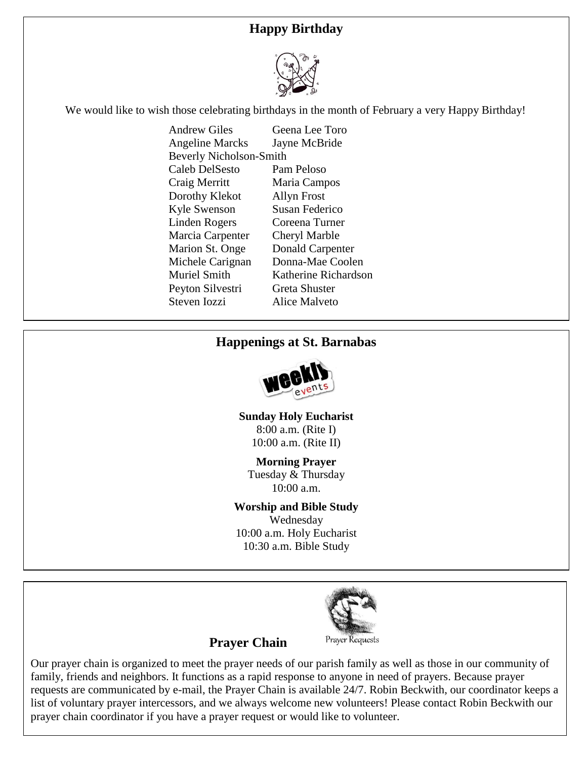## **Happy Birthday**



We would like to wish those celebrating birthdays in the month of February a very Happy Birthday!

| Andrew Giles                   | Geena Lee Toro          |
|--------------------------------|-------------------------|
| <b>Angeline Marcks</b>         | Jayne McBride           |
| <b>Beverly Nicholson-Smith</b> |                         |
| Caleb DelSesto                 | Pam Peloso              |
| Craig Merritt                  | Maria Campos            |
| Dorothy Klekot                 | <b>Allyn Frost</b>      |
| <b>Kyle Swenson</b>            | <b>Susan Federico</b>   |
| Linden Rogers                  | Coreena Turner          |
| Marcia Carpenter               | Cheryl Marble           |
| <b>Marion St. Onge</b>         | <b>Donald Carpenter</b> |
| Michele Carignan               | Donna-Mae Coolen        |
| Muriel Smith                   | Katherine Richardson    |
| Peyton Silvestri               | Greta Shuster           |
| Steven Iozzi                   | Alice Malveto           |
|                                |                         |

#### **Happenings at St. Barnabas**



**Sunday Holy Eucharist** 8:00 a.m. (Rite I) 10:00 a.m. (Rite II)

**Morning Prayer** Tuesday & Thursday 10:00 a.m.

#### **Worship and Bible Study**

Wednesday 10:00 a.m. Holy Eucharist 10:30 a.m. Bible Study



#### **Prayer Chain**

Our prayer chain is organized to meet the prayer needs of our parish family as well as those in our community of family, friends and neighbors. It functions as a rapid response to anyone in need of prayers. Because prayer requests are communicated by e-mail, the Prayer Chain is available 24/7. Robin Beckwith, our coordinator keeps a list of voluntary prayer intercessors, and we always welcome new volunteers! Please contact Robin Beckwith our prayer chain coordinator if you have a prayer request or would like to volunteer.